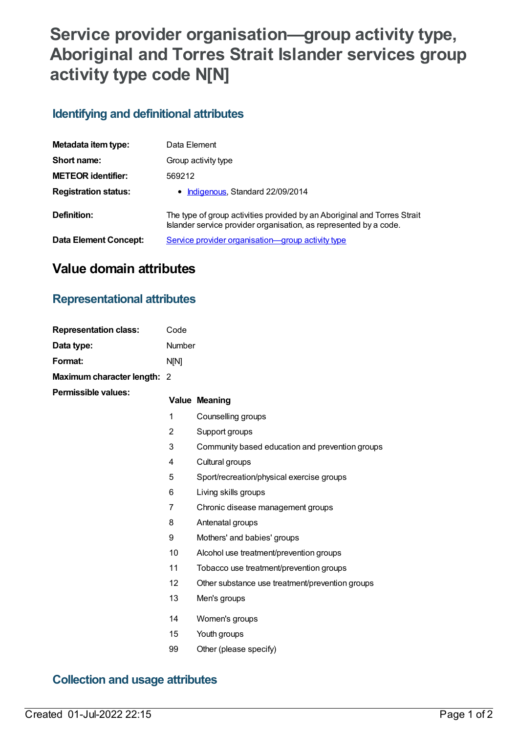# **Service provider organisation—group activity type, Aboriginal and Torres Strait Islander services group activity type code N[N]**

#### **Identifying and definitional attributes**

| Metadata item type:         | Data Element                                                                                                                                  |
|-----------------------------|-----------------------------------------------------------------------------------------------------------------------------------------------|
| Short name:                 | Group activity type                                                                                                                           |
| <b>METEOR identifier:</b>   | 569212                                                                                                                                        |
| <b>Registration status:</b> | • Indigenous, Standard 22/09/2014                                                                                                             |
| Definition:                 | The type of group activities provided by an Aboriginal and Torres Strait<br>Islander service provider organisation, as represented by a code. |
| Data Element Concept:       | Service provider organisation-group activity type                                                                                             |

## **Value domain attributes**

#### **Representational attributes**

| <b>Representation class:</b> | Code   |                                                 |
|------------------------------|--------|-------------------------------------------------|
| Data type:                   | Number |                                                 |
| Format:                      | N[N]   |                                                 |
| Maximum character length: 2  |        |                                                 |
| <b>Permissible values:</b>   |        | <b>Value Meaning</b>                            |
|                              | 1      | Counselling groups                              |
|                              | 2      | Support groups                                  |
|                              | 3      | Community based education and prevention groups |
|                              | 4      | Cultural groups                                 |
|                              | 5      | Sport/recreation/physical exercise groups       |
|                              | 6      | Living skills groups                            |
|                              | 7      | Chronic disease management groups               |
|                              | 8      | Antenatal groups                                |
|                              | 9      | Mothers' and babies' groups                     |
|                              | 10     | Alcohol use treatment/prevention groups         |
|                              | 11     | Tobacco use treatment/prevention groups         |
|                              | 12     | Other substance use treatment/prevention groups |
|                              | 13     | Men's groups                                    |
|                              | 14     | Women's groups                                  |
|                              | 15     | Youth groups                                    |
|                              | 99     | Other (please specify)                          |
|                              |        |                                                 |

#### **Collection and usage attributes**